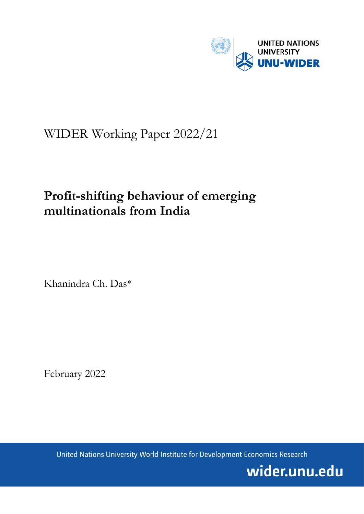

# WIDER Working Paper 2022/21

# **Profit-shifting behaviour of emerging multinationals from India**

Khanindra Ch. Das\*

February 2022

United Nations University World Institute for Development Economics Research

wider.unu.edu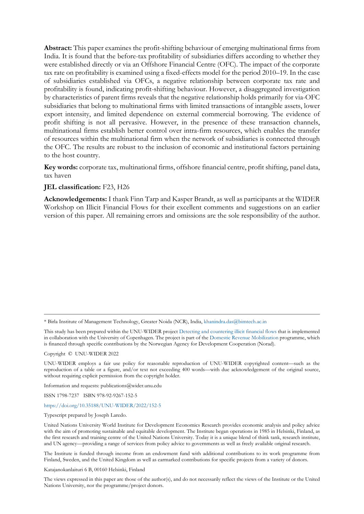**Abstract:** This paper examines the profit-shifting behaviour of emerging multinational firms from India. It is found that the before-tax profitability of subsidiaries differs according to whether they were established directly or via an Offshore Financial Centre (OFC). The impact of the corporate tax rate on profitability is examined using a fixed-effects model for the period 2010–19. In the case of subsidiaries established via OFCs, a negative relationship between corporate tax rate and profitability is found, indicating profit-shifting behaviour. However, a disaggregated investigation by characteristics of parent firms reveals that the negative relationship holds primarily for via-OFC subsidiaries that belong to multinational firms with limited transactions of intangible assets, lower export intensity, and limited dependence on external commercial borrowing. The evidence of profit shifting is not all pervasive. However, in the presence of these transaction channels, multinational firms establish better control over intra-firm resources, which enables the transfer of resources within the multinational firm when the network of subsidiaries is connected through the OFC. The results are robust to the inclusion of economic and institutional factors pertaining to the host country.

**Key words:** corporate tax, multinational firms, offshore financial centre, profit shifting, panel data, tax haven

#### **JEL classification:** F23, H26

**Acknowledgements:** I thank Finn Tarp and Kasper Brandt, as well as participants at the WIDER Workshop on Illicit Financial Flows for their excellent comments and suggestions on an earlier version of this paper. All remaining errors and omissions are the sole responsibility of the author.

\* Birla Institute of Management Technology, Greater Noida (NCR), India, [khanindra.das@bimtech.ac.in](mailto:khanindra.das@bimtech.ac.in)

This study has been prepared within the UNU-WIDER projec[t Detecting and countering illicit financial flows](https://www.wider.unu.edu/node/237297) that is implemented in collaboration with the University of Copenhagen. The project is part of the [Domestic Revenue Mobilization](https://www.wider.unu.edu/node/237587) programme, which is financed through specific contributions by the Norwegian Agency for Development Cooperation (Norad).

Copyright © UNU-WIDER 2022

UNU-WIDER employs a fair use policy for reasonable reproduction of UNU-WIDER copyrighted content—such as the reproduction of a table or a figure, and/or text not exceeding 400 words—with due acknowledgement of the original source, without requiring explicit permission from the copyright holder.

Information and requests: publications@wider.unu.edu

ISSN 1798-7237 ISBN 978-92-9267-152-5

#### <https://doi.org/10.35188/UNU-WIDER/2022/152-5>

Typescript prepared by Joseph Laredo.

United Nations University World Institute for Development Economics Research provides economic analysis and policy advice with the aim of promoting sustainable and equitable development. The Institute began operations in 1985 in Helsinki, Finland, as the first research and training centre of the United Nations University. Today it is a unique blend of think tank, research institute, and UN agency—providing a range of services from policy advice to governments as well as freely available original research.

The Institute is funded through income from an endowment fund with additional contributions to its work programme from Finland, Sweden, and the United Kingdom as well as earmarked contributions for specific projects from a variety of donors.

Katajanokanlaituri 6 B, 00160 Helsinki, Finland

The views expressed in this paper are those of the author(s), and do not necessarily reflect the views of the Institute or the United Nations University, nor the programme/project donors.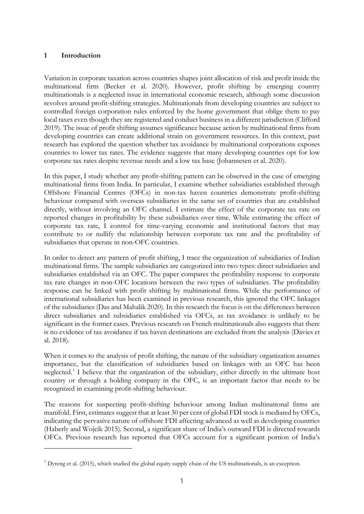### **1 Introduction**

Variation in corporate taxation across countries shapes joint allocation of risk and profit inside the multinational firm (Becker et al. 2020). However, profit shifting by emerging country multinationals is a neglected issue in international economic research, although some discussion revolves around profit-shifting strategies. Multinationals from developing countries are subject to controlled foreign corporation rules enforced by the home government that oblige them to pay local taxes even though they are registered and conduct business in a different jurisdiction (Clifford 2019). The issue of profit shifting assumes significance because action by multinational firms from developing countries can create additional strain on government resources. In this context, past research has explored the question whether tax avoidance by multinational corporations exposes countries to lower tax rates. The evidence suggests that many developing countries opt for low corporate tax rates despite revenue needs and a low tax base (Johannesen et al. 2020).

In this paper, I study whether any profit-shifting pattern can be observed in the case of emerging multinational firms from India. In particular, I examine whether subsidiaries established through Offshore Financial Centres (OFCs) in non-tax haven countries demonstrate profit-shifting behaviour compared with overseas subsidiaries in the same set of countries that are established directly, without involving an OFC channel. I estimate the effect of the corporate tax rate on reported changes in profitability by these subsidiaries over time. While estimating the effect of corporate tax rate, I control for time-varying economic and institutional factors that may contribute to or nullify the relationship between corporate tax rate and the profitability of subsidiaries that operate in non-OFC countries.

In order to detect any pattern of profit shifting, I trace the organization of subsidiaries of Indian multinational firms. The sample subsidiaries are categorized into two types: direct subsidiaries and subsidiaries established via an OFC. The paper compares the profitability response to corporate tax rate changes in non-OFC locations between the two types of subsidiaries. The profitability response can be linked with profit shifting by multinational firms. While the performance of international subsidiaries has been examined in previous research, this ignored the OFC linkages of the subsidiaries (Das and Mahalik 2020). In this research the focus is on the differences between direct subsidiaries and subsidiaries established via OFCs, as tax avoidance is unlikely to be significant in the former cases. Previous research on French multinationals also suggests that there is no evidence of tax avoidance if tax haven destinations are excluded from the analysis (Davies et al. 2018).

When it comes to the analysis of profit shifting, the nature of the subsidiary organization assumes importance, but the classification of subsidiaries based on linkages with an OFC has been neglected.[1](#page-2-0) I believe that the organization of the subsidiary, either directly in the ultimate host country or through a holding company in the OFC, is an important factor that needs to be recognized in examining profit-shifting behaviour.

The reasons for suspecting profit-shifting behaviour among Indian multinational firms are manifold. First, estimates suggest that at least 30 per cent of global FDI stock is mediated by OFCs, indicating the pervasive nature of offshore FDI affecting advanced as well as developing countries (Haberly and Wojcik 2015). Second, a significant share of India's outward FDI is directed towards OFCs. Previous research has reported that OFCs account for a significant portion of India's

<span id="page-2-0"></span> $1$  Dyreng et al. (2015), which studied the global equity supply chain of the US multinationals, is an exception.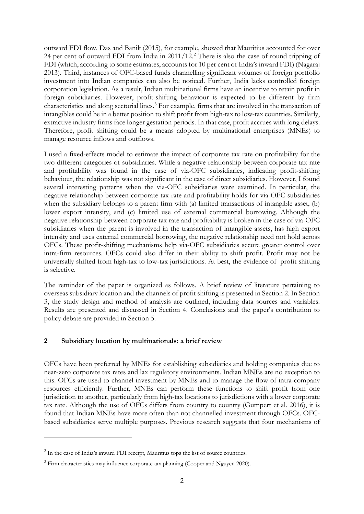outward FDI flow. Das and Banik (2015), for example, showed that Mauritius accounted for over [2](#page-3-0)4 per cent of outward FDI from India in 2011/12.<sup>2</sup> There is also the case of round tripping of FDI (which, according to some estimates, accounts for 10 per cent of India's inward FDI) (Nagaraj 2013). Third, instances of OFC-based funds channelling significant volumes of foreign portfolio investment into Indian companies can also be noticed. Further, India lacks controlled foreign corporation legislation. As a result, Indian multinational firms have an incentive to retain profit in foreign subsidiaries. However, profit-shifting behaviour is expected to be different by firm characteristics and along sectorial lines.[3](#page-3-1) For example, firms that are involved in the transaction of intangibles could be in a better position to shift profit from high-tax to low-tax countries. Similarly, extractive industry firms face longer gestation periods. In that case, profit accrues with long delays. Therefore, profit shifting could be a means adopted by multinational enterprises (MNEs) to manage resource inflows and outflows.

I used a fixed-effects model to estimate the impact of corporate tax rate on profitability for the two different categories of subsidiaries. While a negative relationship between corporate tax rate and profitability was found in the case of via-OFC subsidiaries, indicating profit-shifting behaviour, the relationship was not significant in the case of direct subsidiaries. However, I found several interesting patterns when the via-OFC subsidiaries were examined. In particular, the negative relationship between corporate tax rate and profitability holds for via-OFC subsidiaries when the subsidiary belongs to a parent firm with (a) limited transactions of intangible asset, (b) lower export intensity, and (c) limited use of external commercial borrowing. Although the negative relationship between corporate tax rate and profitability is broken in the case of via-OFC subsidiaries when the parent is involved in the transaction of intangible assets, has high export intensity and uses external commercial borrowing, the negative relationship need not hold across OFCs. These profit-shifting mechanisms help via-OFC subsidiaries secure greater control over intra-firm resources. OFCs could also differ in their ability to shift profit. Profit may not be universally shifted from high-tax to low-tax jurisdictions. At best, the evidence of profit shifting is selective.

The reminder of the paper is organized as follows. A brief review of literature pertaining to overseas subsidiary location and the channels of profit shifting is presented in Section 2. In Section 3, the study design and method of analysis are outlined, including data sources and variables. Results are presented and discussed in Section 4. Conclusions and the paper's contribution to policy debate are provided in Section 5.

#### **2 Subsidiary location by multinationals: a brief review**

OFCs have been preferred by MNEs for establishing subsidiaries and holding companies due to near-zero corporate tax rates and lax regulatory environments. Indian MNEs are no exception to this. OFCs are used to channel investment by MNEs and to manage the flow of intra-company resources efficiently. Further, MNEs can perform these functions to shift profit from one jurisdiction to another, particularly from high-tax locations to jurisdictions with a lower corporate tax rate. Although the use of OFCs differs from country to country (Gumpert et al. 2016), it is found that Indian MNEs have more often than not channelled investment through OFCs. OFCbased subsidiaries serve multiple purposes. Previous research suggests that four mechanisms of

<span id="page-3-0"></span><sup>&</sup>lt;sup>2</sup> In the case of India's inward FDI receipt, Mauritius tops the list of source countries.

<span id="page-3-1"></span><sup>&</sup>lt;sup>3</sup> Firm characteristics may influence corporate tax planning (Cooper and Nguyen 2020).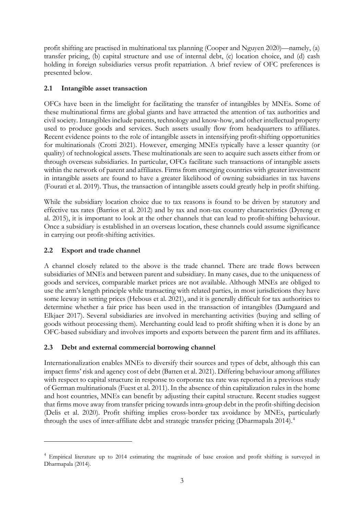profit shifting are practised in multinational tax planning (Cooper and Nguyen 2020)—namely, (a) transfer pricing, (b) capital structure and use of internal debt, (c) location choice, and (d) cash holding in foreign subsidiaries versus profit repatriation. A brief review of OFC preferences is presented below.

# **2.1 Intangible asset transaction**

OFCs have been in the limelight for facilitating the transfer of intangibles by MNEs. Some of these multinational firms are global giants and have attracted the attention of tax authorities and civil society. Intangibles include patents, technology and know-how, and other intellectual property used to produce goods and services. Such assets usually flow from headquarters to affiliates. Recent evidence points to the role of intangible assets in intensifying profit-shifting opportunities for multinationals (Crotti 2021). However, emerging MNEs typically have a lesser quantity (or quality) of technological assets. These multinationals are seen to acquire such assets either from or through overseas subsidiaries. In particular, OFCs facilitate such transactions of intangible assets within the network of parent and affiliates. Firms from emerging countries with greater investment in intangible assets are found to have a greater likelihood of owning subsidiaries in tax havens (Fourati et al. 2019). Thus, the transaction of intangible assets could greatly help in profit shifting.

While the subsidiary location choice due to tax reasons is found to be driven by statutory and effective tax rates (Barrios et al. 2012) and by tax and non-tax country characteristics (Dyreng et al. 2015), it is important to look at the other channels that can lead to profit-shifting behaviour. Once a subsidiary is established in an overseas location, these channels could assume significance in carrying out profit-shifting activities.

# **2.2 Export and trade channel**

A channel closely related to the above is the trade channel. There are trade flows between subsidiaries of MNEs and between parent and subsidiary. In many cases, due to the uniqueness of goods and services, comparable market prices are not available. Although MNEs are obliged to use the arm's length principle while transacting with related parties, in most jurisdictions they have some leeway in setting prices (Hebous et al. 2021), and it is generally difficult for tax authorities to determine whether a fair price has been used in the transaction of intangibles (Damgaard and Elkjaer 2017). Several subsidiaries are involved in merchanting activities (buying and selling of goods without processing them). Merchanting could lead to profit shifting when it is done by an OFC-based subsidiary and involves imports and exports between the parent firm and its affiliates.

# **2.3 Debt and external commercial borrowing channel**

Internationalization enables MNEs to diversify their sources and types of debt, although this can impact firms' risk and agency cost of debt (Batten et al. 2021). Differing behaviour among affiliates with respect to capital structure in response to corporate tax rate was reported in a previous study of German multinationals (Fuest et al. 2011). In the absence of thin capitalization rules in the home and host countries, MNEs can benefit by adjusting their capital structure. Recent studies suggest that firms move away from transfer pricing towards intra-group debt in the profit-shifting decision (Delis et al. 2020). Profit shifting implies cross-border tax avoidance by MNEs, particularly through the uses of inter-affiliate debt and strategic transfer pricing (Dharmapala 201[4](#page-4-0)).<sup>4</sup>

<span id="page-4-0"></span><sup>&</sup>lt;sup>4</sup> Empirical literature up to 2014 estimating the magnitude of base erosion and profit shifting is surveyed in Dharmapala (2014).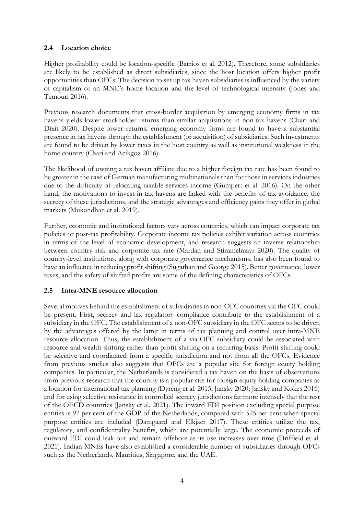## **2.4 Location choice**

Higher profitability could be location-specific (Barrios et al. 2012). Therefore, some subsidiaries are likely to be established as direct subsidiaries, since the host location offers higher profit opportunities than OFCs. The decision to set up tax haven subsidiaries is influenced by the variety of capitalism of an MNE's home location and the level of technological intensity (Jones and Temouri 2016).

Previous research documents that cross-border acquisition by emerging economy firms in tax havens yields lower stockholder returns than similar acquisitions in non-tax havens (Chari and Dixit 2020). Despite lower returns, emerging economy firms are found to have a substantial presence in tax havens through the establishment (or acquisition) of subsidiaries. Such investments are found to be driven by lower taxes in the host country as well as institutional weakness in the home country (Chari and Acikgoz 2016).

The likelihood of owning a tax haven affiliate due to a higher foreign tax rate has been found to be greater in the case of German manufacturing multinationals than for those in services industries due to the difficulty of relocating taxable services income (Gumpert et al. 2016). On the other hand, the motivations to invest in tax havens are linked with the benefits of tax avoidance, the secrecy of these jurisdictions, and the strategic advantages and efficiency gains they offer in global markets (Mukundhan et al. 2019).

Further, economic and institutional factors vary across countries, which can impact corporate tax policies or post-tax profitability. Corporate income tax policies exhibit variation across countries in terms of the level of economic development, and research suggests an inverse relationship between country risk and corporate tax rate (Mardan and Stimmelmayr 2020). The quality of country-level institutions, along with corporate governance mechanisms, has also been found to have an influence in reducing profit shifting (Sugathan and George 2015). Better governance, lower taxes, and the safety of shifted profits are some of the defining characteristics of OFCs.

# **2.5 Intra-MNE resource allocation**

Several motives behind the establishment of subsidiaries in non-OFC countries via the OFC could be present. First, secrecy and lax regulatory compliance contribute to the establishment of a subsidiary in the OFC. The establishment of a non-OFC subsidiary in the OFC seems to be driven by the advantages offered by the latter in terms of tax planning and control over intra-MNE resource allocation. Thus, the establishment of a via-OFC subsidiary could be associated with resource and wealth shifting rather than profit shifting on a recurring basis. Profit shifting could be selective and coordinated from a specific jurisdiction and not from all the OFCs. Evidence from previous studies also suggests that OFCs are a popular site for foreign equity holding companies. In particular, the Netherlands is considered a tax haven on the basis of observations from previous research that the country is a popular site for foreign equity holding companies as a location for international tax planning (Dyreng et al. 2015; Jansky 2020; Jansky and Kokes 2016) and for using selective resistance in controlled secrecy jurisdictions far more intensely that the rest of the OECD countries (Jansky et al. 2021). The inward FDI position excluding special purpose entities is 97 per cent of the GDP of the Netherlands, compared with 525 per cent when special purpose entities are included (Damgaard and Elkjaer 2017). These entities utilize the tax, regulatory, and confidentiality benefits, which are potentially large. The economic proceeds of outward FDI could leak out and remain offshore as its use increases over time (Driffield et al. 2021). Indian MNEs have also established a considerable number of subsidiaries through OFCs such as the Netherlands, Mauritius, Singapore, and the UAE.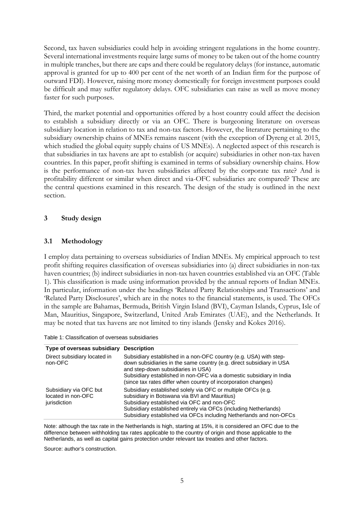Second, tax haven subsidiaries could help in avoiding stringent regulations in the home country. Several international investments require large sums of money to be taken out of the home country in multiple tranches, but there are caps and there could be regulatory delays (for instance, automatic approval is granted for up to 400 per cent of the net worth of an Indian firm for the purpose of outward FDI). However, raising more money domestically for foreign investment purposes could be difficult and may suffer regulatory delays. OFC subsidiaries can raise as well as move money faster for such purposes.

Third, the market potential and opportunities offered by a host country could affect the decision to establish a subsidiary directly or via an OFC. There is burgeoning literature on overseas subsidiary location in relation to tax and non-tax factors. However, the literature pertaining to the subsidiary ownership chains of MNEs remains nascent (with the exception of Dyreng et al. 2015, which studied the global equity supply chains of US MNEs). A neglected aspect of this research is that subsidiaries in tax havens are apt to establish (or acquire) subsidiaries in other non-tax haven countries. In this paper, profit shifting is examined in terms of subsidiary ownership chains. How is the performance of non-tax haven subsidiaries affected by the corporate tax rate? And is profitability different or similar when direct and via-OFC subsidiaries are compared? These are the central questions examined in this research. The design of the study is outlined in the next section.

#### **3 Study design**

#### **3.1 Methodology**

I employ data pertaining to overseas subsidiaries of Indian MNEs. My empirical approach to test profit shifting requires classification of overseas subsidiaries into (a) direct subsidiaries in non-tax haven countries; (b) indirect subsidiaries in non-tax haven countries established via an OFC (Table 1). This classification is made using information provided by the annual reports of Indian MNEs. In particular, information under the headings 'Related Party Relationships and Transactions' and 'Related Party Disclosures', which are in the notes to the financial statements, is used. The OFCs in the sample are Bahamas, Bermuda, British Virgin Island (BVI), Cayman Islands, Cyprus, Isle of Man, Mauritius, Singapore, Switzerland, United Arab Emirates (UAE), and the Netherlands. It may be noted that tax havens are not limited to tiny islands (Jensky and Kokes 2016).

| Table 1: Classification of overseas subsidiaries |  |
|--------------------------------------------------|--|
|--------------------------------------------------|--|

| Type of overseas subsidiary                                  | <b>Description</b>                                                                                                                                                                                                                                                                                                        |
|--------------------------------------------------------------|---------------------------------------------------------------------------------------------------------------------------------------------------------------------------------------------------------------------------------------------------------------------------------------------------------------------------|
| Direct subsidiary located in<br>non-OFC                      | Subsidiary established in a non-OFC country (e.g. USA) with step-<br>down subsidiaries in the same country (e.g. direct subsidiary in USA<br>and step-down subsidiaries in USA)<br>Subsidiary established in non-OFC via a domestic subsidiary in India<br>(since tax rates differ when country of incorporation changes) |
| Subsidiary via OFC but<br>located in non-OFC<br>jurisdiction | Subsidiary established solely via OFC or multiple OFCs (e.g.<br>subsidiary in Botswana via BVI and Mauritius)<br>Subsidiary established via OFC and non-OFC<br>Subsidiary established entirely via OFCs (including Netherlands)<br>Subsidiary established via OFCs including Netherlands and non-OFCs                     |

Note: although the tax rate in the Netherlands is high, starting at 15%, it is considered an OFC due to the difference between withholding tax rates applicable to the country of origin and those applicable to the Netherlands, as well as capital gains protection under relevant tax treaties and other factors.

Source: author's construction.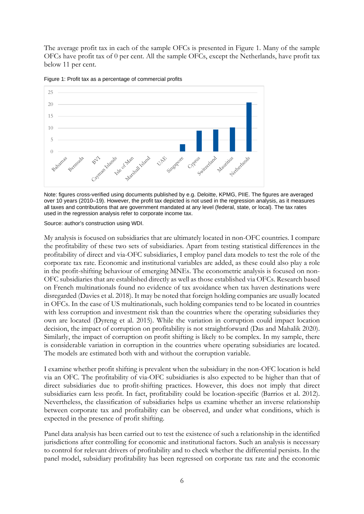The average profit tax in each of the sample OFCs is presented in Figure 1. Many of the sample OFCs have profit tax of 0 per cent. All the sample OFCs, except the Netherlands, have profit tax below 11 per cent.



Figure 1: Profit tax as a percentage of commercial profits

Note: figures cross-verified using documents published by e.g. Deloitte, KPMG, PIIE. The figures are averaged over 10 years (2010–19). However, the profit tax depicted is not used in the regression analysis, as it measures all taxes and contributions that are government mandated at any level (federal, state, or local). The tax rates used in the regression analysis refer to corporate income tax.

Source: author's construction using WDI.

My analysis is focused on subsidiaries that are ultimately located in non-OFC countries. I compare the profitability of these two sets of subsidiaries. Apart from testing statistical differences in the profitability of direct and via-OFC subsidiaries, I employ panel data models to test the role of the corporate tax rate. Economic and institutional variables are added, as these could also play a role in the profit-shifting behaviour of emerging MNEs. The econometric analysis is focused on non-OFC subsidiaries that are established directly as well as those established via OFCs. Research based on French multinationals found no evidence of tax avoidance when tax haven destinations were disregarded (Davies et al. 2018). It may be noted that foreign holding companies are usually located in OFCs. In the case of US multinationals, such holding companies tend to be located in countries with less corruption and investment risk than the countries where the operating subsidiaries they own are located (Dyreng et al. 2015). While the variation in corruption could impact location decision, the impact of corruption on profitability is not straightforward (Das and Mahalik 2020). Similarly, the impact of corruption on profit shifting is likely to be complex. In my sample, there is considerable variation in corruption in the countries where operating subsidiaries are located. The models are estimated both with and without the corruption variable.

I examine whether profit shifting is prevalent when the subsidiary in the non-OFC location is held via an OFC. The profitability of via-OFC subsidiaries is also expected to be higher than that of direct subsidiaries due to profit-shifting practices. However, this does not imply that direct subsidiaries earn less profit. In fact, profitability could be location-specific (Barrios et al. 2012). Nevertheless, the classification of subsidiaries helps us examine whether an inverse relationship between corporate tax and profitability can be observed, and under what conditions, which is expected in the presence of profit shifting.

Panel data analysis has been carried out to test the existence of such a relationship in the identified jurisdictions after controlling for economic and institutional factors. Such an analysis is necessary to control for relevant drivers of profitability and to check whether the differential persists. In the panel model, subsidiary profitability has been regressed on corporate tax rate and the economic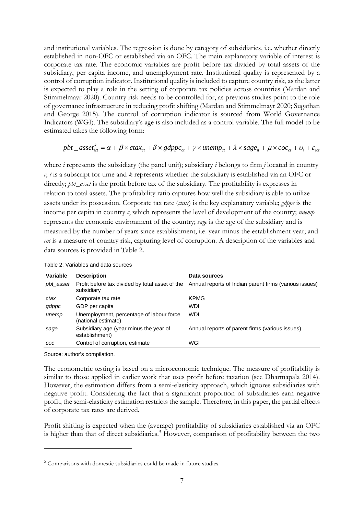and institutional variables. The regression is done by category of subsidiaries, i.e. whether directly established in non-OFC or established via an OFC. The main explanatory variable of interest is corporate tax rate. The economic variables are profit before tax divided by total assets of the subsidiary, per capita income, and unemployment rate. Institutional quality is represented by a control of corruption indicator. Institutional quality is included to capture country risk, as the latter is expected to play a role in the setting of corporate tax policies across countries (Mardan and Stimmelmayr 2020). Country risk needs to be controlled for, as previous studies point to the role of governance infrastructure in reducing profit shifting (Mardan and Stimmelmayr 2020; Sugathan and George 2015). The control of corruption indicator is sourced from World Governance Indicators (WGI). The subsidiary's age is also included as a control variable. The full model to be estimated takes the following form:

$$
pbt\_asset_{ict}^k = \alpha + \beta \times ctax_{ct} + \delta \times gdppc_{ct} + \gamma \times unemp_{ct} + \lambda \times sage_{it} + \mu \times coc_{ct} + \nu_i + \varepsilon_{ict}
$$

where *i* represents the subsidiary (the panel unit); subsidiary *i* belongs to firm *j* located in country *c*; *t* is a subscript for time and *k* represents whether the subsidiary is established via an OFC or directly; *pbt\_asset* is the profit before tax of the subsidiary. The profitability is expresses in relation to total assets. The profitability ratio captures how well the subsidiary is able to utilize assets under its possession. Corporate tax rate (*ctax*) is the key explanatory variable; *gdppc* is the income per capita in country *c*, which represents the level of development of the country; *unemp* represents the economic environment of the country; *sage* is the age of the subsidiary and is measured by the number of years since establishment, i.e. year minus the establishment year; and *coc* is a measure of country risk, capturing level of corruption. A description of the variables and data sources is provided in Table 2.

| Variable  | <b>Description</b>                                              | Data sources                                           |
|-----------|-----------------------------------------------------------------|--------------------------------------------------------|
| pbt_asset | Profit before tax divided by total asset of the<br>subsidiary   | Annual reports of Indian parent firms (various issues) |
| ctax      | Corporate tax rate                                              | <b>KPMG</b>                                            |
| gdppc     | GDP per capita                                                  | WDI                                                    |
| unemp     | Unemployment, percentage of labour force<br>(national estimate) | <b>WDI</b>                                             |
| sage      | Subsidiary age (year minus the year of<br>establishment)        | Annual reports of parent firms (various issues)        |
| COC       | Control of corruption, estimate                                 | WGI                                                    |

Table 2: Variables and data sources

Source: author's compilation.

The econometric testing is based on a microeconomic technique. The measure of profitability is similar to those applied in earlier work that uses profit before taxation (see Dharmapala 2014). However, the estimation differs from a semi-elasticity approach, which ignores subsidiaries with negative profit. Considering the fact that a significant proportion of subsidiaries earn negative profit, the semi-elasticity estimation restricts the sample. Therefore, in this paper, the partial effects of corporate tax rates are derived.

Profit shifting is expected when the (average) profitability of subsidiaries established via an OFC is higher than that of direct subsidiaries.<sup>[5](#page-8-0)</sup> However, comparison of profitability between the two

<span id="page-8-0"></span><sup>5</sup> Comparisons with domestic subsidiaries could be made in future studies.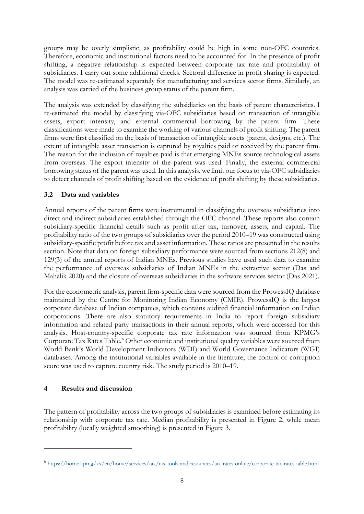groups may be overly simplistic, as profitability could be high in some non-OFC countries. Therefore, economic and institutional factors need to be accounted for. In the presence of profit shifting, a negative relationship is expected between corporate tax rate and profitability of subsidiaries. I carry out some additional checks. Sectoral difference in profit sharing is expected. The model was re-estimated separately for manufacturing and services sector firms. Similarly, an analysis was carried of the business group status of the parent firm.

The analysis was extended by classifying the subsidiaries on the basis of parent characteristics. I re-estimated the model by classifying via-OFC subsidiaries based on transaction of intangible assets, export intensity, and external commercial borrowing by the parent firm. These classifications were made to examine the working of various channels of profit shifting. The parent firms were first classified on the basis of transaction of intangible assets (patent, designs, etc.). The extent of intangible asset transaction is captured by royalties paid or received by the parent firm. The reason for the inclusion of royalties paid is that emerging MNEs source technological assets from overseas. The export intensity of the parent was used. Finally, the external commercial borrowing status of the parent was used. In this analysis, we limit our focus to via-OFC subsidiaries to detect channels of profit shifting based on the evidence of profit shifting by these subsidiaries.

# **3.2 Data and variables**

Annual reports of the parent firms were instrumental in classifying the overseas subsidiaries into direct and indirect subsidiaries established through the OFC channel. These reports also contain subsidiary-specific financial details such as profit after tax, turnover, assets, and capital. The profitability ratio of the two groups of subsidiaries over the period 2010–19 was constructed using subsidiary-specific profit before tax and asset information. These ratios are presented in the results section. Note that data on foreign subsidiary performance were sourced from sections 212(8) and 129(3) of the annual reports of Indian MNEs. Previous studies have used such data to examine the performance of overseas subsidiaries of Indian MNEs in the extractive sector (Das and Mahalik 2020) and the closure of overseas subsidiaries in the software services sector (Das 2021).

For the econometric analysis, parent firm-specific data were sourced from the ProwessIQ database maintained by the Centre for Monitoring Indian Economy (CMIE). ProwessIQ is the largest corporate database of Indian companies, which contains audited financial information on Indian corporations. There are also statutory requirements in India to report foreign subsidiary information and related party transactions in their annual reports, which were accessed for this analysis. Host-country-specific corporate tax rate information was sourced from KPMG's Corporate Tax Rates Table.<sup>[6](#page-9-0)</sup> Other economic and institutional quality variables were sourced from World Bank's World Development Indicators (WDI) and World Governance Indicators (WGI) databases. Among the institutional variables available in the literature, the control of corruption score was used to capture country risk. The study period is 2010–19.

# **4 Results and discussion**

The pattern of profitability across the two groups of subsidiaries is examined before estimating its relationship with corporate tax rate. Median profitability is presented in Figure 2, while mean profitability (locally weighted smoothing) is presented in Figure 3.

<span id="page-9-0"></span><sup>6</sup> <https://home.kpmg/xx/en/home/services/tax/tax-tools-and-resources/tax-rates-online/corporate-tax-rates-table.html>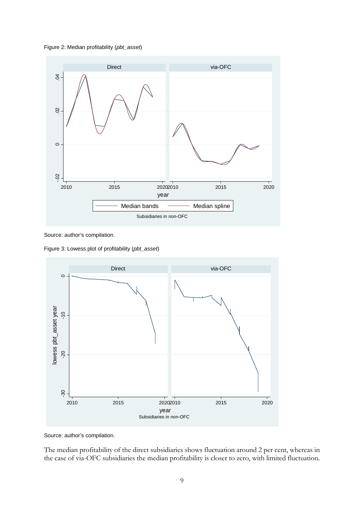



Source: author's compilation.

Figure 3: Lowess plot of profitability (*pbt\_asset*)



Source: author's compilation.

The median profitability of the direct subsidiaries shows fluctuation around 2 per cent, whereas in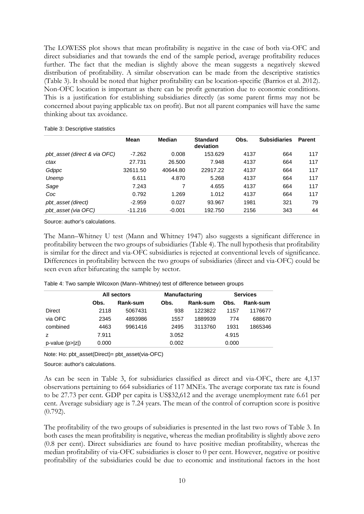The LOWESS plot shows that mean profitability is negative in the case of both via-OFC and direct subsidiaries and that towards the end of the sample period, average profitability reduces further. The fact that the median is slightly above the mean suggests a negatively skewed distribution of profitability. A similar observation can be made from the descriptive statistics (Table 3). It should be noted that higher profitability can be location-specific (Barrios et al. 2012). Non-OFC location is important as there can be profit generation due to economic conditions. This is a justification for establishing subsidiaries directly (as some parent firms may not be concerned about paying applicable tax on profit). But not all parent companies will have the same thinking about tax avoidance.

|                              | Mean      | <b>Median</b> | <b>Standard</b><br>deviation | Obs. | <b>Subsidiaries</b> | <b>Parent</b> |
|------------------------------|-----------|---------------|------------------------------|------|---------------------|---------------|
| pbt_asset (direct & via OFC) | $-7.262$  | 0.008         | 153.629                      | 4137 | 664                 | 117           |
| ctax                         | 27.731    | 26,500        | 7.948                        | 4137 | 664                 | 117           |
| Gdppc                        | 32611.50  | 40644.80      | 22917.22                     | 4137 | 664                 | 117           |
| Unemp                        | 6.611     | 4.870         | 5.268                        | 4137 | 664                 | 117           |
| Sage                         | 7.243     |               | 4.655                        | 4137 | 664                 | 117           |
| Coc                          | 0.792     | 1.269         | 1.012                        | 4137 | 664                 | 117           |
| pbt_asset (direct)           | $-2.959$  | 0.027         | 93.967                       | 1981 | 321                 | 79            |
| pbt_asset (via OFC)          | $-11.216$ | $-0.001$      | 192.750                      | 2156 | 343                 | 44            |

Source: author's calculations.

The Mann–Whitney U test (Mann and Whitney 1947) also suggests a significant difference in profitability between the two groups of subsidiaries (Table 4). The null hypothesis that profitability is similar for the direct and via-OFC subsidiaries is rejected at conventional levels of significance. Differences in profitability between the two groups of subsidiaries (direct and via-OFC) could be seen even after bifurcating the sample by sector.

|                   |       | All sectors | <b>Manufacturing</b> |          | <b>Services</b> |          |  |
|-------------------|-------|-------------|----------------------|----------|-----------------|----------|--|
|                   | Obs.  | Rank-sum    | Obs.                 | Rank-sum | Obs.            | Rank-sum |  |
| <b>Direct</b>     | 2118  | 5067431     | 938                  | 1223822  | 1157            | 1176677  |  |
| via OFC           | 2345  | 4893986     | 1557                 | 1889939  | 774             | 688670   |  |
| combined          | 4463  | 9961416     | 2495                 | 3113760  | 1931            | 1865346  |  |
| z                 | 7.911 |             | 3.052                |          | 4.915           |          |  |
| $p-value (p> z )$ | 0.000 |             | 0.002                |          | 0.000           |          |  |

Table 4: Two sample Wilcoxon (Mann–Whitney) test of difference between groups

Note: Ho: pbt\_asset(Direct)= pbt\_asset(via-OFC)

Source: author's calculations.

As can be seen in Table 3, for subsidiaries classified as direct and via-OFC, there are 4,137 observations pertaining to 664 subsidiaries of 117 MNEs. The average corporate tax rate is found to be 27.73 per cent. GDP per capita is US\$32,612 and the average unemployment rate 6.61 per cent. Average subsidiary age is 7.24 years. The mean of the control of corruption score is positive (0.792).

The profitability of the two groups of subsidiaries is presented in the last two rows of Table 3. In both cases the mean profitability is negative, whereas the median profitability is slightly above zero (0.8 per cent). Direct subsidiaries are found to have positive median profitability, whereas the median profitability of via-OFC subsidiaries is closer to 0 per cent. However, negative or positive profitability of the subsidiaries could be due to economic and institutional factors in the host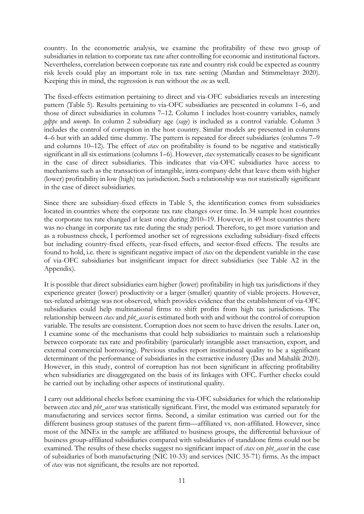country. In the econometric analysis, we examine the profitability of these two group of subsidiaries in relation to corporate tax rate after controlling for economic and institutional factors. Nevertheless, correlation between corporate tax rate and country risk could be expected as country risk levels could play an important role in tax rate setting (Mardan and Stimmelmayr 2020). Keeping this in mind, the regression is run without the *coc* as well.

The fixed-effects estimation pertaining to direct and via-OFC subsidiaries reveals an interesting pattern (Table 5). Results pertaining to via-OFC subsidiaries are presented in columns 1–6, and those of direct subsidiaries in columns 7–12. Column 1 includes host-country variables, namely *gdppc* and *unemp*. In column 2 subsidiary age (*sage*) is included as a control variable. Column 3 includes the control of corruption in the host country. Similar models are presented in columns 4–6 but with an added time dummy. The pattern is repeated for direct subsidiaries (columns 7–9 and columns 10–12). The effect of *ctax* on profitability is found to be negative and statistically significant in all six estimations (columns 1–6). However, *ctax* systematically ceases to be significant in the case of direct subsidiaries. This indicates that via-OFC subsidiaries have access to mechanisms such as the transaction of intangible, intra-company debt that leave them with higher (lower) profitability in low (high) tax jurisdiction. Such a relationship was not statistically significant in the case of direct subsidiaries.

Since there are subsidiary-fixed effects in Table 5, the identification comes from subsidiaries located in countries where the corporate tax rate changes over time. In 34 sample host countries the corporate tax rate changed at least once during 2010–19. However, in 49 host countries there was no change in corporate tax rate during the study period. Therefore, to get more variation and as a robustness check, I performed another set of regressions excluding subsidiary-fixed effects but including country-fixed effects, year-fixed effects, and sector-fixed effects. The results are found to hold, i.e. there is significant negative impact of *ctax* on the dependent variable in the case of via-OFC subsidiaries but insignificant impact for direct subsidiaries (see Table A2 in the Appendix).

It is possible that direct subsidiaries earn higher (lower) profitability in high tax jurisdictions if they experience greater (lower) productivity or a larger (smaller) quantity of viable projects. However, tax-related arbitrage was not observed, which provides evidence that the establishment of via-OFC subsidiaries could help multinational firms to shift profits from high tax jurisdictions. The relationship between *ctax* and *pbt\_asset* is estimated both with and without the control of corruption variable. The results are consistent. Corruption does not seem to have driven the results. Later on, I examine some of the mechanisms that could help subsidiaries to maintain such a relationship between corporate tax rate and profitability (particularly intangible asset transaction, export, and external commercial borrowing). Previous studies report institutional quality to be a significant determinant of the performance of subsidiaries in the extractive industry (Das and Mahalik 2020). However, in this study, control of corruption has not been significant in affecting profitability when subsidiaries are disaggregated on the basis of its linkages with OFC. Further checks could be carried out by including other aspects of institutional quality.

I carry out additional checks before examining the via-OFC subsidiaries for which the relationship between *ctax* and *pbt\_asset* was statistically significant. First, the model was estimated separately for manufacturing and services sector firms. Second, a similar estimation was carried out for the different business group statuses of the parent firm—affiliated vs. non-affiliated. However, since most of the MNEs in the sample are affiliated to business groups, the differential behaviour of business group-affiliated subsidiaries compared with subsidiaries of standalone firms could not be examined. The results of these checks suggest no significant impact of *ctax* on *pbt\_asset* in the case of subsidiaries of both manufacturing (NIC 10-33) and services (NIC 35-71) firms. As the impact of *ctax* was not significant, the results are not reported.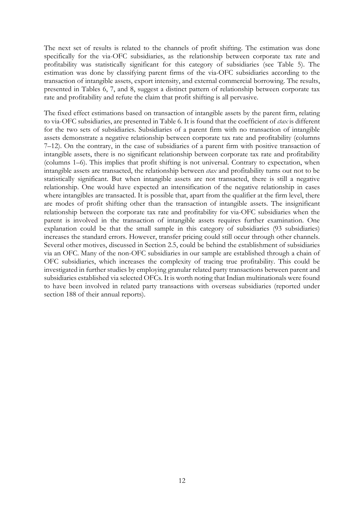The next set of results is related to the channels of profit shifting. The estimation was done specifically for the via-OFC subsidiaries, as the relationship between corporate tax rate and profitability was statistically significant for this category of subsidiaries (see Table 5). The estimation was done by classifying parent firms of the via-OFC subsidiaries according to the transaction of intangible assets, export intensity, and external commercial borrowing. The results, presented in Tables 6, 7, and 8, suggest a distinct pattern of relationship between corporate tax rate and profitability and refute the claim that profit shifting is all pervasive.

The fixed effect estimations based on transaction of intangible assets by the parent firm, relating to via-OFC subsidiaries, are presented in Table 6. It is found that the coefficient of *ctax* is different for the two sets of subsidiaries. Subsidiaries of a parent firm with no transaction of intangible assets demonstrate a negative relationship between corporate tax rate and profitability (columns 7–12). On the contrary, in the case of subsidiaries of a parent firm with positive transaction of intangible assets, there is no significant relationship between corporate tax rate and profitability (columns 1–6). This implies that profit shifting is not universal. Contrary to expectation, when intangible assets are transacted, the relationship between *ctax* and profitability turns out not to be statistically significant. But when intangible assets are not transacted, there is still a negative relationship. One would have expected an intensification of the negative relationship in cases where intangibles are transacted. It is possible that, apart from the qualifier at the firm level, there are modes of profit shifting other than the transaction of intangible assets. The insignificant relationship between the corporate tax rate and profitability for via-OFC subsidiaries when the parent is involved in the transaction of intangible assets requires further examination. One explanation could be that the small sample in this category of subsidiaries (93 subsidiaries) increases the standard errors. However, transfer pricing could still occur through other channels. Several other motives, discussed in Section 2.5, could be behind the establishment of subsidiaries via an OFC. Many of the non-OFC subsidiaries in our sample are established through a chain of OFC subsidiaries, which increases the complexity of tracing true profitability. This could be investigated in further studies by employing granular related party transactions between parent and subsidiaries established via selected OFCs. It is worth noting that Indian multinationals were found to have been involved in related party transactions with overseas subsidiaries (reported under section 188 of their annual reports).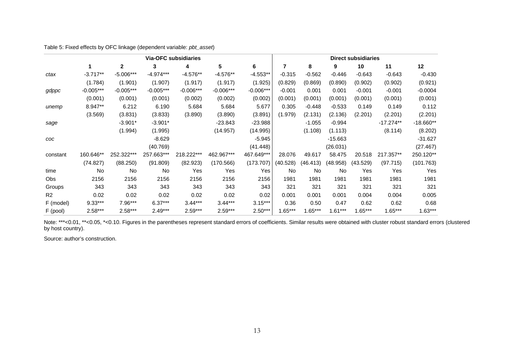Table 5: Fixed effects by OFC linkage (dependent variable: *pbt\_asset*)

|                |             | <b>Direct subsidiaries</b> |             |             |             |             |          |           |           |           |             |             |
|----------------|-------------|----------------------------|-------------|-------------|-------------|-------------|----------|-----------|-----------|-----------|-------------|-------------|
|                |             | $\mathbf{2}$               | 3           | 4           | 5           | 6           | 7        | 8         | 9         | 10        | 11          | 12          |
| ctax           | $-3.717**$  | $-5.006***$                | $-4.974***$ | $-4.576**$  | $-4.576**$  | $-4.553**$  | $-0.315$ | $-0.562$  | $-0.446$  | $-0.643$  | $-0.643$    | $-0.430$    |
|                | (1.784)     | (1.901)                    | (1.907)     | (1.917)     | (1.917)     | (1.925)     | (0.829)  | (0.869)   | (0.890)   | (0.902)   | (0.902)     | (0.921)     |
| gdppc          | $-0.005***$ | $-0.005***$                | $-0.005***$ | $-0.006***$ | $-0.006***$ | $-0.006***$ | $-0.001$ | 0.001     | 0.001     | $-0.001$  | $-0.001$    | $-0.0004$   |
|                | (0.001)     | (0.001)                    | (0.001)     | (0.002)     | (0.002)     | (0.002)     | (0.001)  | (0.001)   | (0.001)   | (0.001)   | (0.001)     | (0.001)     |
| unemp          | 8.947**     | 6.212                      | 6.190       | 5.684       | 5.684       | 5.677       | 0.305    | $-0.448$  | $-0.533$  | 0.149     | 0.149       | 0.112       |
|                | (3.569)     | (3.831)                    | (3.833)     | (3.890)     | (3.890)     | (3.891)     | (1.979)  | (2.131)   | (2.136)   | (2.201)   | (2.201)     | (2.201)     |
| sage           |             | $-3.901*$                  | $-3.901*$   |             | $-23.843$   | $-23.988$   |          | $-1.055$  | $-0.994$  |           | $-17.274**$ | $-18.660**$ |
|                |             | (1.994)                    | (1.995)     |             | (14.957)    | (14.995)    |          | (1.108)   | (1.113)   |           | (8.114)     | (8.202)     |
| COC            |             |                            | $-8.629$    |             |             | $-5.945$    |          |           | $-15.663$ |           |             | $-31.627$   |
|                |             |                            | (40.769)    |             |             | (41.448)    |          |           | (26.031)  |           |             | (27.467)    |
| constant       | 160.646**   | 252.322***                 | 257.663***  | 218.222***  | 462.967***  | 467.649***  | 28.076   | 49.617    | 58.475    | 20.518    | 217.357**   | 250.120**   |
|                | (74.827)    | (88.250)                   | (91.809)    | (82.923)    | (170.566)   | (173.707)   | (40.528) | (46.413)  | (48.958)  | (43.529)  | (97.715)    | (101.763)   |
| time           | No          | <b>No</b>                  | <b>No</b>   | Yes         | Yes         | Yes         | No       | No        | <b>No</b> | Yes       | Yes         | Yes         |
| <b>Obs</b>     | 2156        | 2156                       | 2156        | 2156        | 2156        | 2156        | 1981     | 1981      | 1981      | 1981      | 1981        | 1981        |
| Groups         | 343         | 343                        | 343         | 343         | 343         | 343         | 321      | 321       | 321       | 321       | 321         | 321         |
| R <sub>2</sub> | 0.02        | 0.02                       | 0.02        | 0.02        | 0.02        | 0.02        | 0.001    | 0.001     | 0.001     | 0.004     | 0.004       | 0.005       |
| F (model)      | $9.33***$   | $7.96***$                  | $6.37***$   | $3.44***$   | $3.44***$   | $3.15***$   | 0.36     | 0.50      | 0.47      | 0.62      | 0.62        | 0.68        |
| F (pool)       | $2.58***$   | $2.58***$                  | $2.49***$   | $2.59***$   | $2.59***$   | $2.50***$   | 1.65***  | $1.65***$ | $1.61***$ | $1.65***$ | $1.65***$   | $1.63***$   |

Note: \*\*\*<0.01, \*\*<0.05, \*<0.10. Figures in the parentheses represent standard errors of coefficients. Similar results were obtained with cluster robust standard errors (clustered by host country).

Source: author's construction.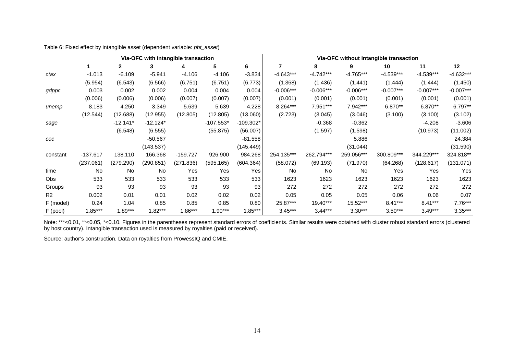Table 6: Fixed effect by intangible asset (dependent variable: *pbt\_asset*)

|                | Via-OFC with intangible transaction |            |            |                |             |             |             | Via-OFC without intangible transaction |             |             |             |             |  |
|----------------|-------------------------------------|------------|------------|----------------|-------------|-------------|-------------|----------------------------------------|-------------|-------------|-------------|-------------|--|
|                |                                     | 2          | 3          | 4              | 5.          | 6           | 7           | 8                                      | 9           | 10          | 11          | 12          |  |
| ctax           | $-1.013$                            | $-6.109$   | $-5.941$   | $-4.106$       | $-4.106$    | $-3.834$    | $-4.643***$ | $-4.742***$                            | $-4.765***$ | $-4.539***$ | $-4.539***$ | -4.632***   |  |
|                | (5.954)                             | (6.543)    | (6.566)    | (6.751)        | (6.751)     | (6.773)     | (1.368)     | (1.436)                                | (1.441)     | (1.444)     | (1.444)     | (1.450)     |  |
| gdppc          | 0.003                               | 0.002      | 0.002      | 0.004          | 0.004       | 0.004       | $-0.006***$ | $-0.006***$                            | $-0.006***$ | $-0.007***$ | $-0.007***$ | $-0.007***$ |  |
|                | (0.006)                             | (0.006)    | (0.006)    | (0.007)        | (0.007)     | (0.007)     | (0.001)     | (0.001)                                | (0.001)     | (0.001)     | (0.001)     | (0.001)     |  |
| unemp          | 8.183                               | 4.250      | 3.349      | 5.639          | 5.639       | 4.228       | 8.264***    | 7.951***                               | 7.942***    | 6.870**     | 6.870**     | 6.797**     |  |
|                | (12.544)                            | (12.688)   | (12.955)   | (12.805)       | (12.805)    | (13.060)    | (2.723)     | (3.045)                                | (3.046)     | (3.100)     | (3.100)     | (3.102)     |  |
| sage           |                                     | $-12.141*$ | $-12.124*$ |                | $-107.553*$ | $-109.302*$ |             | $-0.368$                               | $-0.362$    |             | $-4.208$    | $-3.606$    |  |
|                |                                     | (6.548)    | (6.555)    |                | (55.875)    | (56.007)    |             | (1.597)                                | (1.598)     |             | (10.973)    | (11.002)    |  |
| COC            |                                     |            | $-50.567$  |                |             | $-81.558$   |             |                                        | 5.886       |             |             | 24.384      |  |
|                |                                     |            | (143.537)  |                |             | (145.449)   |             |                                        | (31.044)    |             |             | (31.590)    |  |
| constant       | $-137.617$                          | 138.110    | 166.368    | $-159.727$     | 926.900     | 984.268     | 254.135***  | 262.794***                             | 259.056***  | 300.809***  | 344.229***  | 324.818**   |  |
|                | (237.061)                           | (279.290)  | (290.851)  | (271)<br>.836) | (595.165)   | (604.364)   | (58.072)    | (69.193)                               | (71.970)    | (64.268)    | (128.617)   | (131.071)   |  |
| time           | No                                  | No         | No         | Yes            | Yes         | Yes         | No          | No                                     | No          | Yes         | Yes         | Yes         |  |
| Obs            | 533                                 | 533        | 533        | 533            | 533         | 533         | 1623        | 1623                                   | 1623        | 1623        | 1623        | 1623        |  |
| Groups         | 93                                  | 93         | 93         | 93             | 93          | 93          | 272         | 272                                    | 272         | 272         | 272         | 272         |  |
| R <sub>2</sub> | 0.002                               | 0.01       | 0.01       | 0.02           | 0.02        | 0.02        | 0.05        | 0.05                                   | 0.05        | 0.06        | 0.06        | 0.07        |  |
| F (model)      | 0.24                                | 1.04       | 0.85       | 0.85           | 0.85        | 0.80        | 25.87***    | 19.40***                               | 15.52***    | $8.41***$   | $8.41***$   | $7.76***$   |  |
| F (pool)       | $1.85***$                           | $1.89***$  | $1.82***$  | $1.86***$      | $1.90***$   | $1.85***$   | $3.45***$   | $3.44***$                              | $3.30***$   | $3.50***$   | $3.49***$   | $3.35***$   |  |

Note: \*\*\*<0.01, \*\*<0.05, \*<0.10. Figures in the parentheses represent standard errors of coefficients. Similar results were obtained with cluster robust standard errors (clustered by host country). Intangible transaction used is measured by royalties (paid or received).

Source: author's construction. Data on royalties from ProwessIQ and CMIE.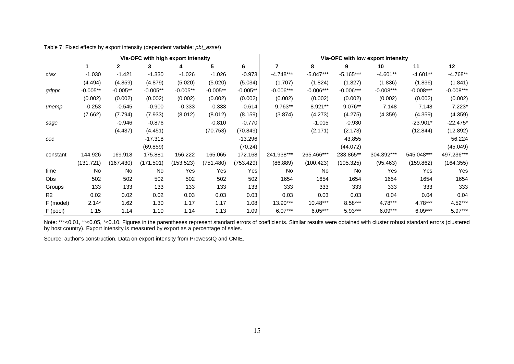Table 7: Fixed effects by export intensity (dependent variable: *pbt\_asset*)

|                | Via-OFC with high export intensity |            |            |            |            |            |             | Via-OFC with low export intensity |             |             |             |             |  |
|----------------|------------------------------------|------------|------------|------------|------------|------------|-------------|-----------------------------------|-------------|-------------|-------------|-------------|--|
|                |                                    | 2          | 3          | 4          | 5          | 6          |             | 8                                 | 9           | 10          | 11          | $12 \,$     |  |
| ctax           | $-1.030$                           | $-1.421$   | $-1.330$   | $-1.026$   | $-1.026$   | $-0.973$   | $-4.748***$ | $-5.047***$                       | $-5.165***$ | $-4.601**$  | $-4.601**$  | -4.768**    |  |
|                | (4.494)                            | (4.859)    | (4.879)    | (5.020)    | (5.020)    | (5.034)    | (1.707)     | (1.824)                           | (1.827)     | (1.836)     | (1.836)     | (1.841)     |  |
| gdppc          | $-0.005**$                         | $-0.005**$ | $-0.005**$ | $-0.005**$ | $-0.005**$ | $-0.005**$ | $-0.006***$ | $-0.006***$                       | $-0.006***$ | $-0.008***$ | $-0.008***$ | $-0.008***$ |  |
|                | (0.002)                            | (0.002)    | (0.002)    | (0.002)    | (0.002)    | (0.002)    | (0.002)     | (0.002)                           | (0.002)     | (0.002)     | (0.002)     | (0.002)     |  |
| unemp          | $-0.253$                           | $-0.545$   | $-0.900$   | $-0.333$   | $-0.333$   | $-0.614$   | 9.763**     | 8.921**                           | 9.076**     | 7.148       | 7.148       | $7.223*$    |  |
|                | (7.662)                            | (7.794)    | (7.933)    | (8.012)    | (8.012)    | (8.159)    | (3.874)     | (4.273)                           | (4.275)     | (4.359)     | (4.359)     | (4.359)     |  |
| sage           |                                    | $-0.946$   | $-0.876$   |            | $-0.810$   | $-0.770$   |             | $-1.015$                          | $-0.930$    |             | $-23.901*$  | $-22.475*$  |  |
|                |                                    | (4.437)    | (4.451)    |            | (70.753)   | (70.849)   |             | (2.171)                           | (2.173)     |             | (12.844)    | (12.892)    |  |
| COC            |                                    |            | $-17.318$  |            |            | $-13.296$  |             |                                   | 43.855      |             |             | 56.224      |  |
|                |                                    |            | (69.859)   |            |            | (70.24)    |             |                                   | (44.072)    |             |             | (45.049)    |  |
| constant       | 144.926                            | 169.918    | 175.881    | 156.222    | 165.065    | 172.168    | 241.938***  | 265.466***                        | 233.865**   | 304.392***  | 545.048***  | 497.236***  |  |
|                | (131.721)                          | (167.430)  | (171.501)  | (153.523)  | (751.480)  | (753.429)  | (86.889)    | (100.423)                         | (105.325)   | (95.463)    | (159.862)   | (164.355)   |  |
| time           | No                                 | No         | No         | Yes        | Yes        | Yes        | No          | No                                | No          | Yes         | Yes         | Yes         |  |
| <b>Obs</b>     | 502                                | 502        | 502        | 502        | 502        | 502        | 1654        | 1654                              | 1654        | 1654        | 1654        | 1654        |  |
| Groups         | 133                                | 133        | 133        | 133        | 133        | 133        | 333         | 333                               | 333         | 333         | 333         | 333         |  |
| R <sub>2</sub> | 0.02                               | 0.02       | 0.02       | 0.03       | 0.03       | 0.03       | 0.03        | 0.03                              | 0.03        | 0.04        | 0.04        | 0.04        |  |
| F (model)      | $2.14*$                            | 1.62       | 1.30       | 1.17       | 1.17       | 1.08       | 13.90***    | 10.48***                          | 8.58***     | 4.78***     | 4.78***     | 4.52***     |  |
| F (pool)       | 1.15                               | 1.14       | 1.10       | 1.14       | 1.13       | 1.09       | $6.07***$   | $6.05***$                         | $5.93***$   | $6.09***$   | $6.09***$   | 5.97***     |  |

Note: \*\*\*<0.01, \*\*<0.05, \*<0.10. Figures in the parentheses represent standard errors of coefficients. Similar results were obtained with cluster robust standard errors (clustered by host country). Export intensity is measured by export as a percentage of sales.

Source: author's construction. Data on export intensity from ProwessIQ and CMIE.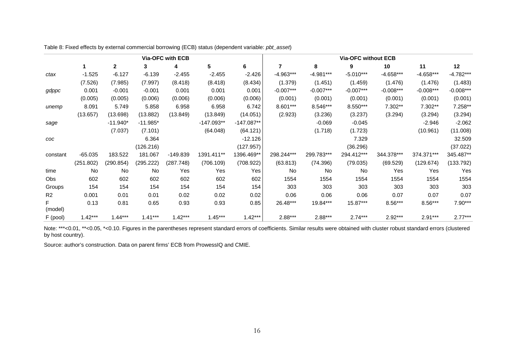Table 8: Fixed effects by external commercial borrowing (ECB) status (dependent variable: *pbt\_asset*)

|                |           |              |            | Via-OFC with ECB |              |              | <b>Via-OFC without ECB</b> |             |             |             |             |             |
|----------------|-----------|--------------|------------|------------------|--------------|--------------|----------------------------|-------------|-------------|-------------|-------------|-------------|
|                |           | $\mathbf{2}$ | 3          | 4                | 5            | 6            | $\overline{7}$             | 8           | 9           | 10          | 11          | 12          |
| ctax           | $-1.525$  | $-6.127$     | $-6.139$   | $-2.455$         | $-2.455$     | $-2.426$     | $-4.963***$                | $-4.981***$ | $-5.010***$ | $-4.658***$ | -4.658***   | $-4.782***$ |
|                | (7.526)   | (7.985)      | (7.997)    | (8.418)          | (8.418)      | (8.434)      | (1.379)                    | (1.451)     | (1.459)     | (1.476)     | (1.476)     | (1.483)     |
| gdppc          | 0.001     | $-0.001$     | $-0.001$   | 0.001            | 0.001        | 0.001        | $-0.007***$                | $-0.007***$ | $-0.007***$ | $-0.008***$ | $-0.008***$ | $-0.008***$ |
|                | (0.005)   | (0.005)      | (0.006)    | (0.006)          | (0.006)      | (0.006)      | (0.001)                    | (0.001)     | (0.001)     | (0.001)     | (0.001)     | (0.001)     |
| unemp          | 8.091     | 5.749        | 5.858      | 6.958            | 6.958        | 6.742        | 8.601***                   | 8.546***    | 8.550***    | 7.302**     | 7.302**     | 7.258**     |
|                | (13.657)  | (13.698)     | (13.882)   | (13.849)         | (13.849)     | (14.051)     | (2.923)                    | (3.236)     | (3.237)     | (3.294)     | (3.294)     | (3.294)     |
| sage           |           | $-11.940*$   | $-11.985*$ |                  | $-147.093**$ | $-147.087**$ |                            | $-0.069$    | $-0.045$    |             | $-2.946$    | $-2.062$    |
|                |           | (7.037)      | (7.101)    |                  | (64.048)     | (64.121)     |                            | (1.718)     | (1.723)     |             | (10.961)    | (11.008)    |
| COC            |           |              | 6.364      |                  |              | $-12.126$    |                            |             | 7.329       |             |             | 32.509      |
|                |           |              | (126.216)  |                  |              | (127.957)    |                            |             | (36.296)    |             |             | (37.022)    |
| constant       | $-65.035$ | 183.522      | 181.067    | $-149.839$       | 1391.411**   | 1396.469**   | 298.244***                 | 299.783***  | 294.412***  | 344.378***  | 374.371***  | 345.487**   |
|                | (251.802) | (290.854)    | (295.222)  | (287.748)        | (706.109)    | (708.922)    | (63.813)                   | (74.396)    | (79.035)    | (69.529)    | (129.674)   | (133.792)   |
| time           | No        | No           | No         | Yes              | Yes          | Yes          | <b>No</b>                  | No          | No          | Yes         | Yes         | Yes         |
| <b>Obs</b>     | 602       | 602          | 602        | 602              | 602          | 602          | 1554                       | 1554        | 1554        | 1554        | 1554        | 1554        |
| Groups         | 154       | 154          | 154        | 154              | 154          | 154          | 303                        | 303         | 303         | 303         | 303         | 303         |
| R <sub>2</sub> | 0.001     | 0.01         | 0.01       | 0.02             | 0.02         | 0.02         | 0.06                       | 0.06        | 0.06        | 0.07        | 0.07        | 0.07        |
| (model)        | 0.13      | 0.81         | 0.65       | 0.93             | 0.93         | 0.85         | 26.48***                   | 19.84***    | 15.87***    | $8.56***$   | $8.56***$   | $7.90***$   |
| F (pool)       | $1.42***$ | $1.44***$    | $1.41***$  | $1.42***$        | $1.45***$    | $1.42***$    | 2.88***                    | 2.88***     | $2.74***$   | 2.92***     | $2.91***$   | $2.77***$   |

Note: \*\*\*<0.01, \*\*<0.05, \*<0.10. Figures in the parentheses represent standard errors of coefficients. Similar results were obtained with cluster robust standard errors (clustered by host country).

Source: author's construction. Data on parent firms' ECB from ProwessIQ and CMIE.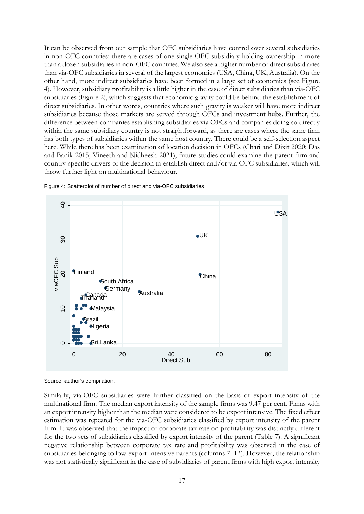It can be observed from our sample that OFC subsidiaries have control over several subsidiaries in non-OFC countries; there are cases of one single OFC subsidiary holding ownership in more than a dozen subsidiaries in non-OFC countries. We also see a higher number of direct subsidiaries than via-OFC subsidiaries in several of the largest economies (USA, China, UK, Australia). On the other hand, more indirect subsidiaries have been formed in a large set of economies (see Figure 4). However, subsidiary profitability is a little higher in the case of direct subsidiaries than via-OFC subsidiaries (Figure 2), which suggests that economic gravity could be behind the establishment of direct subsidiaries. In other words, countries where such gravity is weaker will have more indirect subsidiaries because those markets are served through OFCs and investment hubs. Further, the difference between companies establishing subsidiaries via OFCs and companies doing so directly within the same subsidiary country is not straightforward, as there are cases where the same firm has both types of subsidiaries within the same host country. There could be a self-selection aspect here. While there has been examination of location decision in OFCs (Chari and Dixit 2020; Das and Banik 2015; Vineeth and Nidheesh 2021), future studies could examine the parent firm and country-specific drivers of the decision to establish direct and/or via-OFC subsidiaries, which will throw further light on multinational behaviour.





Similarly, via-OFC subsidiaries were further classified on the basis of export intensity of the multinational firm. The median export intensity of the sample firms was 9.47 per cent. Firms with an export intensity higher than the median were considered to be export intensive. The fixed effect estimation was repeated for the via-OFC subsidiaries classified by export intensity of the parent firm. It was observed that the impact of corporate tax rate on profitability was distinctly different for the two sets of subsidiaries classified by export intensity of the parent (Table 7). A significant negative relationship between corporate tax rate and profitability was observed in the case of subsidiaries belonging to low-export-intensive parents (columns 7–12). However, the relationship was not statistically significant in the case of subsidiaries of parent firms with high export intensity

Source: author's compilation.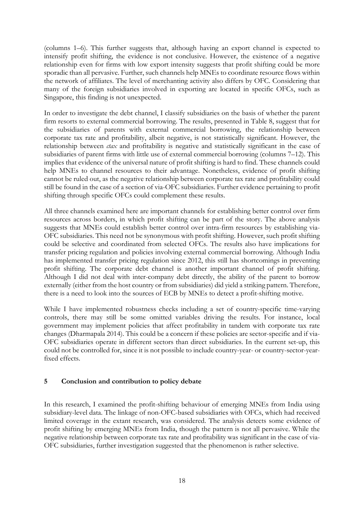(columns 1–6). This further suggests that, although having an export channel is expected to intensify profit shifting, the evidence is not conclusive. However, the existence of a negative relationship even for firms with low export intensity suggests that profit shifting could be more sporadic than all pervasive. Further, such channels help MNEs to coordinate resource flows within the network of affiliates. The level of merchanting activity also differs by OFC. Considering that many of the foreign subsidiaries involved in exporting are located in specific OFCs, such as Singapore, this finding is not unexpected.

In order to investigate the debt channel, I classify subsidiaries on the basis of whether the parent firm resorts to external commercial borrowing. The results, presented in Table 8, suggest that for the subsidiaries of parents with external commercial borrowing, the relationship between corporate tax rate and profitability, albeit negative, is not statistically significant. However, the relationship between *ctax* and profitability is negative and statistically significant in the case of subsidiaries of parent firms with little use of external commercial borrowing (columns 7–12). This implies that evidence of the universal nature of profit shifting is hard to find. These channels could help MNEs to channel resources to their advantage. Nonetheless, evidence of profit shifting cannot be ruled out, as the negative relationship between corporate tax rate and profitability could still be found in the case of a section of via-OFC subsidiaries. Further evidence pertaining to profit shifting through specific OFCs could complement these results.

All three channels examined here are important channels for establishing better control over firm resources across borders, in which profit shifting can be part of the story. The above analysis suggests that MNEs could establish better control over intra-firm resources by establishing via-OFC subsidiaries. This need not be synonymous with profit shifting. However, such profit shifting could be selective and coordinated from selected OFCs. The results also have implications for transfer pricing regulation and policies involving external commercial borrowing. Although India has implemented transfer pricing regulation since 2012, this still has shortcomings in preventing profit shifting. The corporate debt channel is another important channel of profit shifting. Although I did not deal with inter-company debt directly, the ability of the parent to borrow externally (either from the host country or from subsidiaries) did yield a striking pattern. Therefore, there is a need to look into the sources of ECB by MNEs to detect a profit-shifting motive.

While I have implemented robustness checks including a set of country-specific time-varying controls, there may still be some omitted variables driving the results. For instance, local government may implement policies that affect profitability in tandem with corporate tax rate changes (Dharmapala 2014). This could be a concern if these policies are sector-specific and if via-OFC subsidiaries operate in different sectors than direct subsidiaries. In the current set-up, this could not be controlled for, since it is not possible to include country-year- or country-sector-yearfixed effects.

#### **5 Conclusion and contribution to policy debate**

In this research, I examined the profit-shifting behaviour of emerging MNEs from India using subsidiary-level data. The linkage of non-OFC-based subsidiaries with OFCs, which had received limited coverage in the extant research, was considered. The analysis detects some evidence of profit shifting by emerging MNEs from India, though the pattern is not all pervasive. While the negative relationship between corporate tax rate and profitability was significant in the case of via-OFC subsidiaries, further investigation suggested that the phenomenon is rather selective.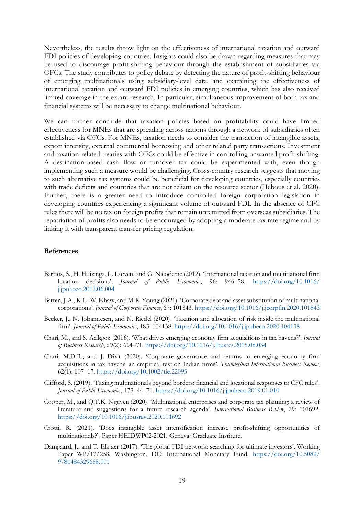Nevertheless, the results throw light on the effectiveness of international taxation and outward FDI policies of developing countries. Insights could also be drawn regarding measures that may be used to discourage profit-shifting behaviour through the establishment of subsidiaries via OFCs. The study contributes to policy debate by detecting the nature of profit-shifting behaviour of emerging multinationals using subsidiary-level data, and examining the effectiveness of international taxation and outward FDI policies in emerging countries, which has also received limited coverage in the extant research. In particular, simultaneous improvement of both tax and financial systems will be necessary to change multinational behaviour.

We can further conclude that taxation policies based on profitability could have limited effectiveness for MNEs that are spreading across nations through a network of subsidiaries often established via OFCs. For MNEs, taxation needs to consider the transaction of intangible assets, export intensity, external commercial borrowing and other related party transactions. Investment and taxation-related treaties with OFCs could be effective in controlling unwanted profit shifting. A destination-based cash flow or turnover tax could be experimented with, even though implementing such a measure would be challenging. Cross-country research suggests that moving to such alternative tax systems could be beneficial for developing countries, especially countries with trade deficits and countries that are not reliant on the resource sector (Hebous et al. 2020). Further, there is a greater need to introduce controlled foreign corporation legislation in developing countries experiencing a significant volume of outward FDI. In the absence of CFC rules there will be no tax on foreign profits that remain unremitted from overseas subsidiaries. The repatriation of profits also needs to be encouraged by adopting a moderate tax rate regime and by linking it with transparent transfer pricing regulation.

#### **References**

- Barrios, S., H. Huizinga, L. Laeven, and G. Nicodeme (2012). 'International taxation and multinational firm location decisions'. *Journal of Public Economics*, 96: 946–58. [https://doi.org/10.1016/](https://doi.org/10.1016/j.jpubeco.2012.06.004) [j.jpubeco.2012.06.004](https://doi.org/10.1016/j.jpubeco.2012.06.004)
- Batten, J.A., K.L.-W. Khaw, and M.R. Young (2021). 'Corporate debt and asset substitution of multinational corporations'. *Journal of Corporate Finance*, 67: 101843. <https://doi.org/10.1016/j.jcorpfin.2020.101843>
- Becker, J., N. Johannesen, and N. Riedel (2020). 'Taxation and allocation of risk inside the multinational firm'. *Journal of Public Economics*, 183: 104138. <https://doi.org/10.1016/j.jpubeco.2020.104138>
- Chari, M., and S. Acikgoz (2016). 'What drives emerging economy firm acquisitions in tax havens?'. *Journal of Business Research*, 69(2): 664–71. <https://doi.org/10.1016/j.jbusres.2015.08.034>
- Chari, M.D.R., and J. Dixit (2020). 'Corporate governance and returns to emerging economy firm acquisitions in tax havens: an empirical test on Indian firms'. *Thunderbird International Business Review*, 62(1): 107–17. <https://doi.org/10.1002/tie.22093>
- Clifford, S. (2019). 'Taxing multinationals beyond borders: financial and locational responses to CFC rules'. *Journal of Public Economics*, 173: 44–71. <https://doi.org/10.1016/j.jpubeco.2019.01.010>
- Cooper, M., and Q.T.K. Nguyen (2020). 'Multinational enterprises and corporate tax planning: a review of literature and suggestions for a future research agenda'. *International Business Review*, 29: 101692. <https://doi.org/10.1016/j.ibusrev.2020.101692>
- Crotti, R. (2021). 'Does intangible asset intensification increase profit-shifting opportunities of multinationals?'. Paper HEIDWP02-2021. Geneva: Graduate Institute.
- Damgaard, J., and T. Elkjaer (2017). 'The global FDI network: searching for ultimate investors'. Working Paper WP/17/258. Washington, DC: International Monetary Fund. [https://doi.org/10.5089/](https://doi.org/10.5089/9781484329658.001) [9781484329658.001](https://doi.org/10.5089/9781484329658.001)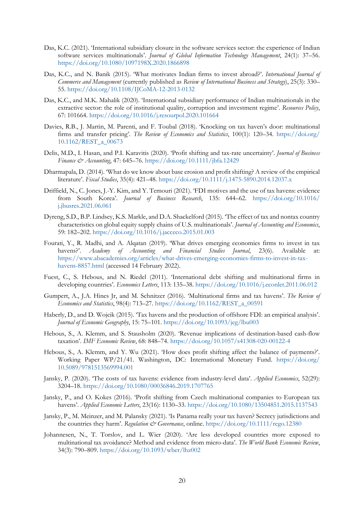- Das, K.C. (2021). 'International subsidiary closure in the software services sector: the experience of Indian software services multinationals'. *Journal of Global Information Technology Management*, 24(1): 37–56. <https://doi.org/10.1080/1097198X.2020.1866898>
- Das, K.C., and N. Banik (2015). 'What motivates Indian firms to invest abroad?'. *International Journal of Commerce and Management* (currently published as *Review of International Business and Strategy*), 25(3): 330– 55. <https://doi.org/10.1108/IJCoMA-12-2013-0132>
- Das, K.C., and M.K. Mahalik (2020). 'International subsidiary performance of Indian multinationals in the extractive sector: the role of institutional quality, corruption and investment regime'. *Resources Policy*, 67: 101664. <https://doi.org/10.1016/j.resourpol.2020.101664>
- Davies, R.B., J. Martin, M. Parenti, and F. Toubal (2018). 'Knocking on tax haven's door: multinational firms and transfer pricing'. *The Review of Economics and Statistics*, 100(1): 120–34. [https://doi.org/](https://doi.org/10.1162/REST_a_00673) [10.1162/REST\\_a\\_00673](https://doi.org/10.1162/REST_a_00673)
- Delis, M.D., I. Hasan, and P.I. Karavitis (2020). 'Profit shifting and tax-rate uncertainty'. *Journal of Business Finance & Accounting*, 47: 645–76. <https://doi.org/10.1111/jbfa.12429>
- Dharmapala, D. (2014). 'What do we know about base erosion and profit shifting? A review of the empirical literature'. *Fiscal Studies*, 35(4): 421–48. <https://doi.org/10.1111/j.1475-5890.2014.12037.x>
- Driffield, N., C. Jones, J.-Y. Kim, and Y. Temouri (2021). 'FDI motives and the use of tax havens: evidence from South Korea'. *Journal of Business Research*, 135: 644–62. [https://doi.org/10.1016/](https://doi.org/10.1016/j.jbusres.2021.06.061) [j.jbusres.2021.06.061](https://doi.org/10.1016/j.jbusres.2021.06.061)
- Dyreng, S.D., B.P. Lindsey, K.S. Markle, and D.A. Shackelford (2015). 'The effect of tax and nontax country characteristics on global equity supply chains of U.S. multinationals'. *Journal of Accounting and Economics*, 59: 182–202. <https://doi.org/10.1016/j.jacceco.2015.01.003>
- Fourati, Y., R. Madhi, and A. Alqatan (2019). 'What drives emerging economies firms to invest in tax havens?'. *Academy of Accounting and Financial Studies Journal*, 23(6). Available at: [https://www.abacademies.org/articles/what-drives-emerging-economies-firms-to-invest-in-tax](https://www.abacademies.org/articles/what-drives-emerging-economies-firms-to-invest-in-tax-havens-8857.html)[havens-8857.html](https://www.abacademies.org/articles/what-drives-emerging-economies-firms-to-invest-in-tax-havens-8857.html) (accessed 14 February 2022).
- Fuest, C., S. Hebous, and N. Riedel (2011). 'International debt shifting and multinational firms in developing countries'. *Economics Letters*, 113: 135–38. <https://doi.org/10.1016/j.econlet.2011.06.012>
- Gumpert, A., J.A. Hines Jr, and M. Schnitzer (2016). 'Multinational firms and tax havens'. *The Review of Economics and Statistics*, 98(4): 713–27. [https://doi.org/10.1162/REST\\_a\\_00591](https://doi.org/10.1162/REST_a_00591)
- Haberly, D., and D. Wojcik (2015). 'Tax havens and the production of offshore FDI: an empirical analysis'. *Journal of Economic Geography*, 15: 75–101. <https://doi.org/10.1093/jeg/lbu003>
- Hebous, S., A. Klemm, and S. Stausholm (2020). 'Revenue implications of destination-based cash-flow taxation'. *IMF Economic Review*, 68: 848–74. <https://doi.org/10.1057/s41308-020-00122-4>
- Hebous, S., A. Klemm, and Y. Wu (2021). 'How does profit shifting affect the balance of payments?'. Working Paper WP/21/41. Washington, DC: International Monetary Fund. [https://doi.org/](https://doi.org/10.5089/9781513569994.001) [10.5089/9781513569994.001](https://doi.org/10.5089/9781513569994.001)
- Jansky, P. (2020). 'The costs of tax havens: evidence from industry-level data'. *Applied Economics*, 52(29): 3204–18. <https://doi.org/10.1080/00036846.2019.1707765>
- Jansky, P., and O. Kokes (2016). 'Profit shifting from Czech multinational companies to European tax havens'. *Applied Economic Letters*, 23(16): 1130–33. <https://doi.org/10.1080/13504851.2015.1137543>
- Jansky, P., M. Meinzer, and M. Palansky (2021). 'Is Panama really your tax haven? Secrecy jurisdictions and the countries they harm'. *Regulation & Governance*, online. <https://doi.org/10.1111/rego.12380>
- Johannesen, N., T. Torslov, and L. Wier (2020). 'Are less developed countries more exposed to multinational tax avoidance? Method and evidence from micro-data'. *The World Bank Economic Review*, 34(3): 790–809. <https://doi.org/10.1093/wber/lhz002>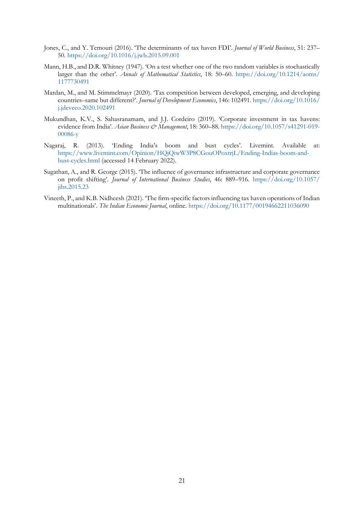- Jones, C., and Y. Temouri (2016). 'The determinants of tax haven FDI'. *Journal of World Business*, 51: 237– 50. <https://doi.org/10.1016/j.jwb.2015.09.001>
- Mann, H.B., and D.R. Whitney (1947). 'On a test whether one of the two random variables is stochastically larger than the other'. *Annals of Mathematical Statistics*, 18: 50–60. [https://doi.org/10.1214/aoms/](https://doi.org/10.1214/aoms/1177730491) [1177730491](https://doi.org/10.1214/aoms/1177730491)
- Mardan, M., and M. Stimmelmayr (2020). 'Tax competition between developed, emerging, and developing countries–same but different?'. *Journal of Development Economics*, 146: 102491. [https://doi.org/10.1016/](https://doi.org/10.1016/j.jdeveco.2020.102491) [j.jdeveco.2020.102491](https://doi.org/10.1016/j.jdeveco.2020.102491)
- Mukundhan, K.V., S. Sahasranamam, and J.J. Cordeiro (2019). 'Corporate investment in tax havens: evidence from India'. *Asian Business & Management*, 18: 360–88. [https://doi.org/10.1057/s41291-019-](https://doi.org/10.1057/s41291-019-00086-y) [00086-y](https://doi.org/10.1057/s41291-019-00086-y)
- Nagaraj, R. (2013). 'Ending India's boom and bust cycles'. Livemint. Available at: [https://www.livemint.com/Opinion/HQjQiwW3P8CGouOPoxtrjL/Ending-Indias-boom-and](https://www.livemint.com/Opinion/HQjQiwW3P8CGouOPoxtrjL/Ending-Indias-boom-and-bust-cycles.html)[bust-cycles.html](https://www.livemint.com/Opinion/HQjQiwW3P8CGouOPoxtrjL/Ending-Indias-boom-and-bust-cycles.html) (accessed 14 February 2022).
- Sugathan, A., and R. George (2015). 'The influence of governance infrastructure and corporate governance on profit shifting'. *Journal of International Business Studies*, 46: 889–916. [https://doi.org/10.1057/](https://doi.org/10.1057/jibs.2015.23) [jibs.2015.23](https://doi.org/10.1057/jibs.2015.23)
- Vineeth, P., and K.B. Nidheesh (2021). 'The firm-specific factors influencing tax haven operations of Indian multinationals'. *The Indian Economic Journal*, online.<https://doi.org/10.1177/00194662211036090>